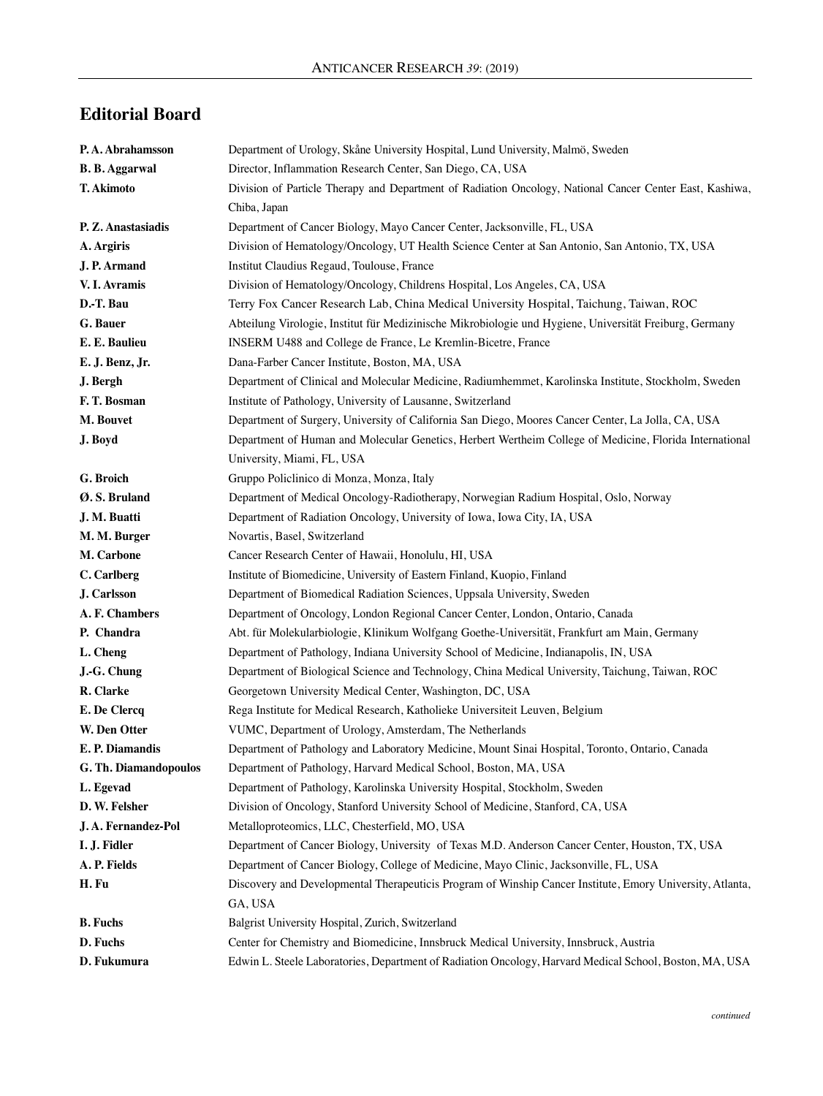## **Editorial Board**

| P.A. Abrahamsson      | Department of Urology, Skåne University Hospital, Lund University, Malmö, Sweden                          |
|-----------------------|-----------------------------------------------------------------------------------------------------------|
| <b>B. B. Aggarwal</b> | Director, Inflammation Research Center, San Diego, CA, USA                                                |
| T. Akimoto            | Division of Particle Therapy and Department of Radiation Oncology, National Cancer Center East, Kashiwa,  |
|                       | Chiba, Japan                                                                                              |
| P. Z. Anastasiadis    | Department of Cancer Biology, Mayo Cancer Center, Jacksonville, FL, USA                                   |
| A. Argiris            | Division of Hematology/Oncology, UT Health Science Center at San Antonio, San Antonio, TX, USA            |
| J. P. Armand          | Institut Claudius Regaud, Toulouse, France                                                                |
| V. I. Avramis         | Division of Hematology/Oncology, Childrens Hospital, Los Angeles, CA, USA                                 |
| D.-T. Bau             | Terry Fox Cancer Research Lab, China Medical University Hospital, Taichung, Taiwan, ROC                   |
| G. Bauer              | Abteilung Virologie, Institut für Medizinische Mikrobiologie und Hygiene, Universität Freiburg, Germany   |
| E. E. Baulieu         | INSERM U488 and College de France, Le Kremlin-Bicetre, France                                             |
| E. J. Benz, Jr.       | Dana-Farber Cancer Institute, Boston, MA, USA                                                             |
| J. Bergh              | Department of Clinical and Molecular Medicine, Radiumhemmet, Karolinska Institute, Stockholm, Sweden      |
| F.T. Bosman           | Institute of Pathology, University of Lausanne, Switzerland                                               |
| M. Bouvet             | Department of Surgery, University of California San Diego, Moores Cancer Center, La Jolla, CA, USA        |
| J. Boyd               | Department of Human and Molecular Genetics, Herbert Wertheim College of Medicine, Florida International   |
|                       | University, Miami, FL, USA                                                                                |
| G. Broich             | Gruppo Policlinico di Monza, Monza, Italy                                                                 |
| Ø.S. Bruland          | Department of Medical Oncology-Radiotherapy, Norwegian Radium Hospital, Oslo, Norway                      |
| J. M. Buatti          | Department of Radiation Oncology, University of Iowa, Iowa City, IA, USA                                  |
| M. M. Burger          | Novartis, Basel, Switzerland                                                                              |
| M. Carbone            | Cancer Research Center of Hawaii, Honolulu, HI, USA                                                       |
| C. Carlberg           | Institute of Biomedicine, University of Eastern Finland, Kuopio, Finland                                  |
| J. Carlsson           | Department of Biomedical Radiation Sciences, Uppsala University, Sweden                                   |
| A. F. Chambers        | Department of Oncology, London Regional Cancer Center, London, Ontario, Canada                            |
| P. Chandra            | Abt. für Molekularbiologie, Klinikum Wolfgang Goethe-Universität, Frankfurt am Main, Germany              |
| L. Cheng              | Department of Pathology, Indiana University School of Medicine, Indianapolis, IN, USA                     |
| J.-G. Chung           | Department of Biological Science and Technology, China Medical University, Taichung, Taiwan, ROC          |
| R. Clarke             | Georgetown University Medical Center, Washington, DC, USA                                                 |
| E. De Clercq          | Rega Institute for Medical Research, Katholieke Universiteit Leuven, Belgium                              |
| W. Den Otter          | VUMC, Department of Urology, Amsterdam, The Netherlands                                                   |
| E. P. Diamandis       | Department of Pathology and Laboratory Medicine, Mount Sinai Hospital, Toronto, Ontario, Canada           |
| G. Th. Diamandopoulos | Department of Pathology, Harvard Medical School, Boston, MA, USA                                          |
| L. Egevad             | Department of Pathology, Karolinska University Hospital, Stockholm, Sweden                                |
| D. W. Felsher         | Division of Oncology, Stanford University School of Medicine, Stanford, CA, USA                           |
| J.A. Fernandez-Pol    | Metalloproteomics, LLC, Chesterfield, MO, USA                                                             |
| I. J. Fidler          | Department of Cancer Biology, University of Texas M.D. Anderson Cancer Center, Houston, TX, USA           |
| A. P. Fields          | Department of Cancer Biology, College of Medicine, Mayo Clinic, Jacksonville, FL, USA                     |
| H. Fu                 | Discovery and Developmental Therapeuticis Program of Winship Cancer Institute, Emory University, Atlanta, |
|                       | GA, USA                                                                                                   |
| <b>B.</b> Fuchs       | Balgrist University Hospital, Zurich, Switzerland                                                         |
| D. Fuchs              | Center for Chemistry and Biomedicine, Innsbruck Medical University, Innsbruck, Austria                    |
| D. Fukumura           | Edwin L. Steele Laboratories, Department of Radiation Oncology, Harvard Medical School, Boston, MA, USA   |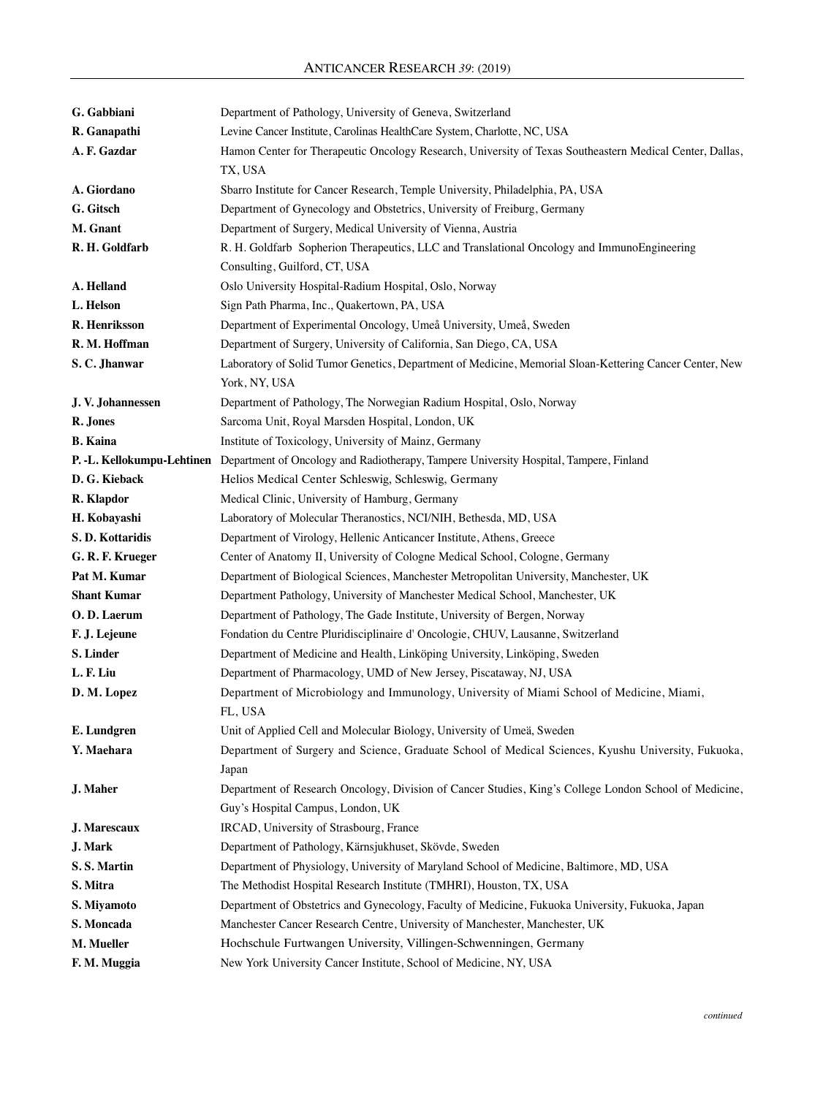| G. Gabbiani                | Department of Pathology, University of Geneva, Switzerland                                               |
|----------------------------|----------------------------------------------------------------------------------------------------------|
| R. Ganapathi               | Levine Cancer Institute, Carolinas HealthCare System, Charlotte, NC, USA                                 |
| A. F. Gazdar               | Hamon Center for Therapeutic Oncology Research, University of Texas Southeastern Medical Center, Dallas, |
|                            | TX, USA                                                                                                  |
| A. Giordano                | Sbarro Institute for Cancer Research, Temple University, Philadelphia, PA, USA                           |
| G. Gitsch                  | Department of Gynecology and Obstetrics, University of Freiburg, Germany                                 |
| M. Gnant                   | Department of Surgery, Medical University of Vienna, Austria                                             |
| R. H. Goldfarb             | R. H. Goldfarb Sopherion Therapeutics, LLC and Translational Oncology and ImmunoEngineering              |
|                            | Consulting, Guilford, CT, USA                                                                            |
| A. Helland                 | Oslo University Hospital-Radium Hospital, Oslo, Norway                                                   |
| L. Helson                  | Sign Path Pharma, Inc., Quakertown, PA, USA                                                              |
| R. Henriksson              | Department of Experimental Oncology, Umeå University, Umeå, Sweden                                       |
| R. M. Hoffman              | Department of Surgery, University of California, San Diego, CA, USA                                      |
| S.C. Jhanwar               | Laboratory of Solid Tumor Genetics, Department of Medicine, Memorial Sloan-Kettering Cancer Center, New  |
|                            | York, NY, USA                                                                                            |
| J.V. Johannessen           | Department of Pathology, The Norwegian Radium Hospital, Oslo, Norway                                     |
| R. Jones                   | Sarcoma Unit, Royal Marsden Hospital, London, UK                                                         |
| <b>B.</b> Kaina            | Institute of Toxicology, University of Mainz, Germany                                                    |
| P. -L. Kellokumpu-Lehtinen | Department of Oncology and Radiotherapy, Tampere University Hospital, Tampere, Finland                   |
| D. G. Kieback              | Helios Medical Center Schleswig, Schleswig, Germany                                                      |
| R. Klapdor                 | Medical Clinic, University of Hamburg, Germany                                                           |
| H. Kobayashi               | Laboratory of Molecular Theranostics, NCI/NIH, Bethesda, MD, USA                                         |
| S.D. Kottaridis            | Department of Virology, Hellenic Anticancer Institute, Athens, Greece                                    |
| G. R. F. Krueger           | Center of Anatomy II, University of Cologne Medical School, Cologne, Germany                             |
| Pat M. Kumar               | Department of Biological Sciences, Manchester Metropolitan University, Manchester, UK                    |
| <b>Shant Kumar</b>         | Department Pathology, University of Manchester Medical School, Manchester, UK                            |
| O.D. Laerum                | Department of Pathology, The Gade Institute, University of Bergen, Norway                                |
| F. J. Lejeune              | Fondation du Centre Pluridisciplinaire d'Oncologie, CHUV, Lausanne, Switzerland                          |
| S. Linder                  | Department of Medicine and Health, Linköping University, Linköping, Sweden                               |
| L. F. Liu                  | Department of Pharmacology, UMD of New Jersey, Piscataway, NJ, USA                                       |
| D. M. Lopez                | Department of Microbiology and Immunology, University of Miami School of Medicine, Miami,                |
|                            | FL, USA                                                                                                  |
| E. Lundgren                | Unit of Applied Cell and Molecular Biology, University of Umeä, Sweden                                   |
| Y. Maehara                 | Department of Surgery and Science, Graduate School of Medical Sciences, Kyushu University, Fukuoka,      |
|                            | Japan                                                                                                    |
| J. Maher                   | Department of Research Oncology, Division of Cancer Studies, King's College London School of Medicine,   |
|                            | Guy's Hospital Campus, London, UK                                                                        |
| J. Marescaux               | IRCAD, University of Strasbourg, France                                                                  |
| <b>J.</b> Mark             | Department of Pathology, Kärnsjukhuset, Skövde, Sweden                                                   |
| S.S. Martin                | Department of Physiology, University of Maryland School of Medicine, Baltimore, MD, USA                  |
| S. Mitra                   | The Methodist Hospital Research Institute (TMHRI), Houston, TX, USA                                      |
| S. Miyamoto                | Department of Obstetrics and Gynecology, Faculty of Medicine, Fukuoka University, Fukuoka, Japan         |
| S. Moncada                 | Manchester Cancer Research Centre, University of Manchester, Manchester, UK                              |
| M. Mueller                 | Hochschule Furtwangen University, Villingen-Schwenningen, Germany                                        |
| F. M. Muggia               | New York University Cancer Institute, School of Medicine, NY, USA                                        |